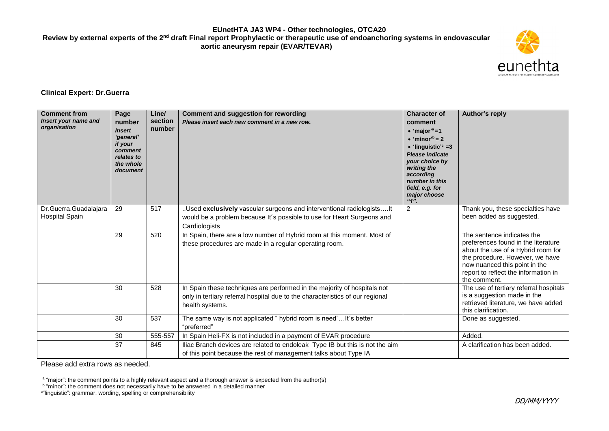# **EUnetHTA JA3 WP4 - Other technologies, OTCA20** Review by external experts of the 2<sup>nd</sup> draft Final report Prophylactic or therapeutic use of endoanchoring systems in endovascular **aortic aneurysm repair (EVAR/TEVAR)**



## **Clinical Expert: Dr.Guerra**

| <b>Comment from</b><br>Insert your name and<br>organisation | Page<br>number<br><b>Insert</b><br>'general'<br>if your<br>comment<br>relates to<br>the whole<br>document | Line/<br>section<br>number | <b>Comment and suggestion for rewording</b><br>Please insert each new comment in a new row.                                                                                  | <b>Character of</b><br>comment<br>• 'major' <sup>a</sup> =1<br>$\bullet$ 'minor' <sup>b</sup> = 2<br>$\bullet$ 'linguistic' <sup>c</sup> =3<br>Please indicate<br>your choice by<br>writing the<br>according<br>number in this<br>field, e.g. for<br>major choose<br>"1" | Author's reply                                                                                                                                                                                                                      |
|-------------------------------------------------------------|-----------------------------------------------------------------------------------------------------------|----------------------------|------------------------------------------------------------------------------------------------------------------------------------------------------------------------------|--------------------------------------------------------------------------------------------------------------------------------------------------------------------------------------------------------------------------------------------------------------------------|-------------------------------------------------------------------------------------------------------------------------------------------------------------------------------------------------------------------------------------|
| Dr.Guerra.Guadalajara<br>Hospital Spain                     | 29                                                                                                        | 517                        | Used exclusively vascular surgeons and interventional radiologists It<br>would be a problem because It's possible to use for Heart Surgeons and<br>Cardiologists             | $\overline{c}$                                                                                                                                                                                                                                                           | Thank you, these specialties have<br>been added as suggested.                                                                                                                                                                       |
|                                                             | 29                                                                                                        | 520                        | In Spain, there are a low number of Hybrid room at this moment. Most of<br>these procedures are made in a regular operating room.                                            |                                                                                                                                                                                                                                                                          | The sentence indicates the<br>preferences found in the literature<br>about the use of a Hybrid room for<br>the procedure. However, we have<br>now nuanced this point in the<br>report to reflect the information in<br>the comment. |
|                                                             | 30                                                                                                        | 528                        | In Spain these techniques are performed in the majority of hospitals not<br>only in tertiary referral hospital due to the characteristics of our regional<br>health systems. |                                                                                                                                                                                                                                                                          | The use of tertiary referral hospitals<br>is a suggestion made in the<br>retrieved literature, we have added<br>this clarification.                                                                                                 |
|                                                             | 30                                                                                                        | 537                        | The same way is not applicated "hybrid room is need" It's better<br>"preferred"                                                                                              |                                                                                                                                                                                                                                                                          | Done as suggested.                                                                                                                                                                                                                  |
|                                                             | 30                                                                                                        | 555-557                    | In Spain Heli-FX is not included in a payment of EVAR procedure                                                                                                              |                                                                                                                                                                                                                                                                          | Added.                                                                                                                                                                                                                              |
|                                                             | 37                                                                                                        | 845                        | Iliac Branch devices are related to endoleak Type IB but this is not the aim<br>of this point because the rest of management talks about Type IA                             |                                                                                                                                                                                                                                                                          | A clarification has been added.                                                                                                                                                                                                     |

Please add extra rows as needed.

<sup>a</sup> "major": the comment points to a highly relevant aspect and a thorough answer is expected from the author(s)<br><sup>b</sup> "minor": the comment does not necessarily have to be answered in a detailed manner

c "linguistic": grammar, wording, spelling or comprehensibility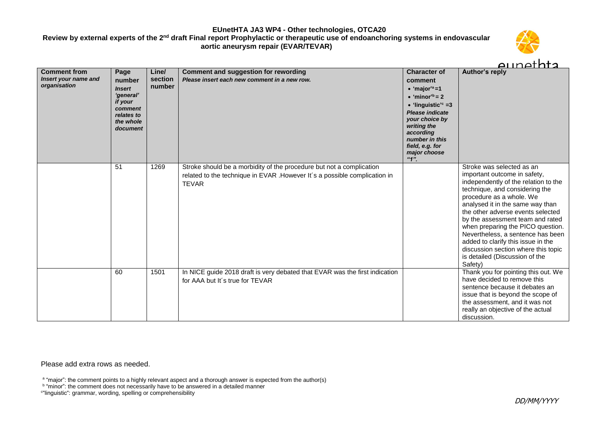## **EUnetHTA JA3 WP4 - Other technologies, OTCA20**

## Review by external experts of the 2<sup>nd</sup> draft Final report Prophylactic or therapeutic use of endoanchoring systems in endovascular **aortic aneurysm repair (EVAR/TEVAR)**



| <b>Comment from</b><br>Insert your name and<br>organisation | Page<br>number<br><i><b>Insert</b></i><br>'general'<br>if your<br>comment<br>relates to<br>the whole<br>document | Line/<br>section<br>number | <b>Comment and suggestion for rewording</b><br>Please insert each new comment in a new row.                                                                        | <b>Character of</b><br>comment<br>$\bullet$ 'major' <sup>a</sup> =1<br>$\bullet$ 'minor' <sup>b</sup> = 2<br>$\bullet$ 'linguistic' <sup>c</sup> =3<br>Please indicate<br>your choice by<br>writing the<br>according<br>number in this<br>field, e.g. for<br>major choose<br>"1" | ______<br>Author's reply                                                                                                                                                                                                                                                                                                                                                                                                                                                         |
|-------------------------------------------------------------|------------------------------------------------------------------------------------------------------------------|----------------------------|--------------------------------------------------------------------------------------------------------------------------------------------------------------------|----------------------------------------------------------------------------------------------------------------------------------------------------------------------------------------------------------------------------------------------------------------------------------|----------------------------------------------------------------------------------------------------------------------------------------------------------------------------------------------------------------------------------------------------------------------------------------------------------------------------------------------------------------------------------------------------------------------------------------------------------------------------------|
|                                                             | 51                                                                                                               | 1269                       | Stroke should be a morbidity of the procedure but not a complication<br>related to the technique in EVAR . However It's a possible complication in<br><b>TEVAR</b> |                                                                                                                                                                                                                                                                                  | Stroke was selected as an<br>important outcome in safety,<br>independently of the relation to the<br>technique, and considering the<br>procedure as a whole. We<br>analysed it in the same way than<br>the other adverse events selected<br>by the assessment team and rated<br>when preparing the PICO question.<br>Nevertheless, a sentence has been<br>added to clarify this issue in the<br>discussion section where this topic<br>is detailed (Discussion of the<br>Safety) |
|                                                             | 60                                                                                                               | 1501                       | In NICE guide 2018 draft is very debated that EVAR was the first indication<br>for AAA but It's true for TEVAR                                                     |                                                                                                                                                                                                                                                                                  | Thank you for pointing this out. We<br>have decided to remove this<br>sentence because it debates an<br>issue that is beyond the scope of<br>the assessment, and it was not<br>really an objective of the actual<br>discussion.                                                                                                                                                                                                                                                  |

Please add extra rows as needed.

<sup>a</sup> "major": the comment points to a highly relevant aspect and a thorough answer is expected from the author(s)<br><sup>b</sup> "minor": the comment does not necessarily have to be answered in a detailed manner

c "linguistic": grammar, wording, spelling or comprehensibility